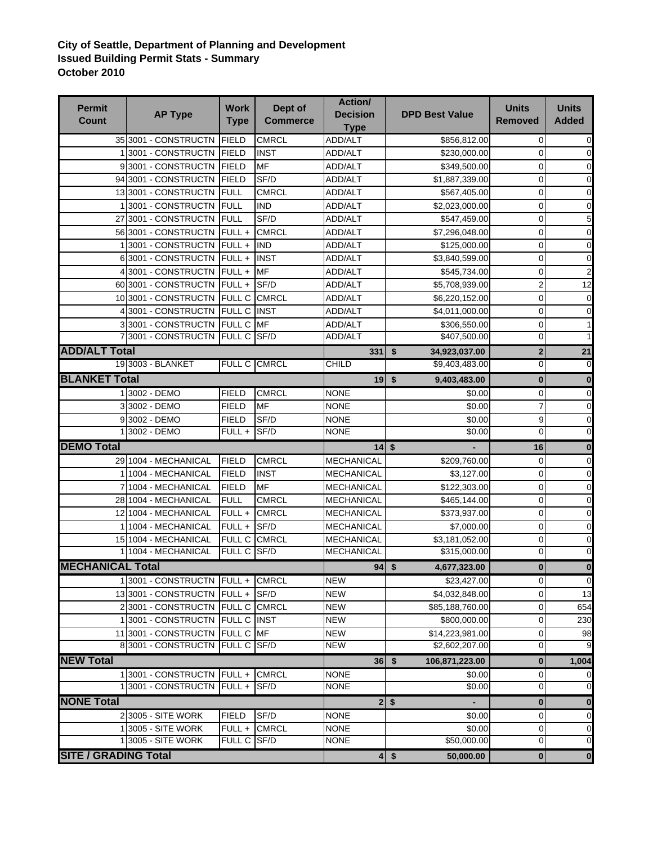## **City of Seattle, Department of Planning and Development Issued Building Permit Stats - Summary October 2010**

| <b>Permit</b><br>Count      | <b>AP Type</b>                  | <b>Work</b><br><b>Type</b> | Dept of<br><b>Commerce</b> | Action/<br><b>Decision</b><br><b>Type</b> | <b>DPD Best Value</b>      | <b>Units</b><br><b>Removed</b> | <b>Units</b><br><b>Added</b> |
|-----------------------------|---------------------------------|----------------------------|----------------------------|-------------------------------------------|----------------------------|--------------------------------|------------------------------|
|                             | 35 3001 - CONSTRUCTN            | <b>FIELD</b>               | <b>CMRCL</b>               | ADD/ALT                                   | \$856,812.00               | 0                              | $\overline{0}$               |
|                             | 13001 - CONSTRUCTN              | <b>FIELD</b>               | <b>INST</b>                | ADD/ALT                                   | \$230,000.00               | $\Omega$                       | $\mathbf 0$                  |
|                             | 93001 - CONSTRUCTN              | <b>FIELD</b>               | <b>MF</b>                  | ADD/ALT                                   | \$349,500.00               | 0                              | $\overline{0}$               |
|                             | 94 3001 - CONSTRUCTN            | <b>FIELD</b>               | SF/D                       | ADD/ALT                                   | \$1,887,339.00             | $\mathbf 0$                    | $\mathbf 0$                  |
|                             | 13 3001 - CONSTRUCTN            | <b>FULL</b>                | <b>CMRCL</b>               | ADD/ALT                                   | \$567,405.00               | 0                              | $\mathbf 0$                  |
|                             | 13001 - CONSTRUCTN              | <b>FULL</b>                | <b>IND</b>                 | ADD/ALT                                   | \$2,023,000.00             | 0                              | $\mathbf 0$                  |
|                             | 27 3001 - CONSTRUCTN            | <b>FULL</b>                | SF/D                       | ADD/ALT                                   | \$547,459.00               | $\mathbf 0$                    | 5                            |
|                             | 56 3001 - CONSTRUCTN            | $FULL +$                   | <b>CMRCL</b>               | ADD/ALT                                   | \$7,296,048.00             | $\mathbf 0$                    | $\overline{0}$               |
|                             | 13001 - CONSTRUCTN              | $FULL +$                   | <b>IND</b>                 | ADD/ALT                                   | \$125,000.00               | 0                              | $\mathbf 0$                  |
|                             | 6 3001 - CONSTRUCTN             | $FULL +$                   | <b>INST</b>                | ADD/ALT                                   | \$3,840,599.00             | 0                              | $\mathbf 0$                  |
|                             | 4 3001 - CONSTRUCTN             | FULL+                      | <b>MF</b>                  | ADD/ALT                                   | \$545,734.00               | 0                              | $\overline{\mathbf{c}}$      |
|                             | 60 3001 - CONSTRUCTN            | $FULL +$ SF/D              |                            | ADD/ALT                                   | \$5,708,939.00             | $\overline{c}$                 | 12                           |
|                             | 10 3001 - CONSTRUCTN            | <b>FULL C CMRCL</b>        |                            | ADD/ALT                                   | \$6,220,152.00             | $\mathbf 0$                    | $\mathbf 0$                  |
|                             | 4 3001 - CONSTRUCTN             | <b>FULL C INST</b>         |                            | ADD/ALT                                   | \$4,011,000.00             | $\mathbf 0$                    | $\mathbf 0$                  |
|                             | 3 3001 - CONSTRUCTN             | <b>FULL C</b>              | <b>MF</b>                  | ADD/ALT                                   | \$306,550.00               | 0                              | $\mathbf{1}$                 |
|                             | 3001 - CONSTRUCTN               | FULL C SF/D                |                            | ADD/ALT                                   | \$407,500.00               | 0                              | $\mathbf{1}$                 |
| <b>ADD/ALT Total</b>        |                                 |                            |                            | 331                                       | \$<br>34,923,037.00        | $\mathbf 2$                    | 21                           |
|                             | 19 3003 - BLANKET               | <b>FULL C</b>              | <b>CMRCL</b>               | <b>CHILD</b>                              | \$9,403,483.00             | 0                              | $\overline{0}$               |
| <b>BLANKET Total</b>        |                                 |                            |                            | 19                                        | \$<br>9,403,483.00         | $\bf{0}$                       | $\bf{0}$                     |
|                             | 1 3002 - DEMO                   | <b>FIELD</b>               | <b>CMRCL</b>               | <b>NONE</b>                               | \$0.00                     | 0                              | $\mathbf 0$                  |
|                             | 3 3002 - DEMO                   | <b>FIELD</b>               | <b>MF</b>                  | <b>NONE</b>                               | \$0.00                     | $\overline{7}$                 | $\mathbf 0$                  |
|                             | 9 3002 - DEMO                   | <b>FIELD</b>               | SF/D                       | <b>NONE</b>                               | \$0.00                     | 9                              | $\mathbf 0$                  |
|                             | 1 3002 - DEMO                   | FULL+                      | SF/D                       | <b>NONE</b>                               | \$0.00                     | 0                              | $\overline{0}$               |
| <b>DEMO Total</b>           |                                 |                            |                            | $14$ \$                                   |                            | 16                             | $\pmb{0}$                    |
|                             | 29 1004 - MECHANICAL            | <b>FIELD</b>               | <b>CMRCL</b>               | <b>MECHANICAL</b>                         | \$209,760.00               | 0                              | $\mathbf 0$                  |
|                             | 1004 - MECHANICAL               | <b>FIELD</b>               | <b>INST</b>                | <b>MECHANICAL</b>                         | \$3,127.00                 | 0                              | $\mathbf 0$                  |
|                             | 1004 - MECHANICAL               | <b>FIELD</b>               | <b>MF</b>                  | <b>MECHANICAL</b>                         | \$122,303.00               | $\mathbf 0$                    | $\mathbf 0$                  |
|                             | 28 1004 - MECHANICAL            | <b>FULL</b>                | <b>CMRCL</b>               | <b>MECHANICAL</b>                         | \$465,144.00               | 0                              | $\mathbf 0$                  |
|                             | 12 1004 - MECHANICAL            | FULL+                      | <b>CMRCL</b>               | <b>MECHANICAL</b>                         | \$373,937.00               | $\mathbf 0$                    | $\mathbf 0$                  |
|                             | 11004 - MECHANICAL              | FULL +                     | SF/D                       | MECHANICAL                                | \$7,000.00                 | 0                              | $\mathbf 0$                  |
|                             | 15 1004 - MECHANICAL            | FULL C                     | <b>CMRCL</b>               | <b>MECHANICAL</b>                         | \$3,181,052.00             | 0                              | $\mathbf 0$                  |
|                             | 1004 - MECHANICAL               | FULL C SF/D                |                            | <b>MECHANICAL</b>                         | \$315,000.00               | 0                              | $\overline{0}$               |
| <b>MECHANICAL Total</b>     |                                 |                            |                            | $94$ \$                                   | 4,677,323.00               | $\pmb{0}$                      | $\mathbf 0$                  |
|                             | 13001 - CONSTRUCTN FULL + CMRCL |                            |                            | <b>NEW</b>                                | \$23,427.00                | 0                              | $\overline{0}$               |
|                             | 133001 - CONSTRUCTN             | $FULL +$                   | SF/D                       | <b>NEW</b>                                | \$4,032,848.00             | 0                              | 13                           |
|                             | 23001 - CONSTRUCTN              | <b>FULL C</b>              | <b>CMRCL</b>               | <b>NEW</b>                                | \$85,188,760.00            | 0                              | 654                          |
|                             | 13001 - CONSTRUCTN FULL C INST  |                            |                            | <b>NEW</b>                                | \$800,000.00               | 0                              | 230                          |
|                             | 11 3001 - CONSTRUCTN            | FULL C MF                  |                            | <b>NEW</b>                                | \$14,223,981.00            | $\mathbf 0$                    | 98                           |
|                             | 8 3001 - CONSTRUCTN             | FULL C SF/D                |                            | <b>NEW</b>                                | \$2,602,207.00             | 0                              | 9                            |
| <b>NEW Total</b>            |                                 |                            |                            | 36                                        | \$<br>106,871,223.00       | $\bf{0}$                       | 1,004                        |
|                             | 13001 - CONSTRUCTN              | $FULL +$                   | <b>CMRCL</b>               | <b>NONE</b>                               | \$0.00                     | 0                              | $\overline{0}$               |
|                             | 3001 - CONSTRUCTN               | $FULL +$                   | SF/D                       | <b>NONE</b>                               | \$0.00                     | 0                              | $\mathbf 0$                  |
| <b>NONE Total</b>           |                                 |                            |                            |                                           | $2 \overline{\phantom{a}}$ | $\bf{0}$                       | $\mathbf 0$                  |
|                             | 2 3005 - SITE WORK              | <b>FIELD</b>               | SF/D                       | <b>NONE</b>                               | \$0.00                     | 0                              | $\mathbf 0$                  |
|                             | 1 3005 - SITE WORK              | FULL+                      | <b>CMRCL</b>               | <b>NONE</b>                               | \$0.00                     | 0                              | $\overline{0}$               |
|                             | 1 3005 - SITE WORK              | FULL C SF/D                |                            | <b>NONE</b>                               | \$50,000.00                | 0                              | $\mathbf 0$                  |
| <b>SITE / GRADING Total</b> |                                 |                            |                            |                                           | $4$ \$<br>50,000.00        | $\pmb{0}$                      | $\mathbf{0}$                 |